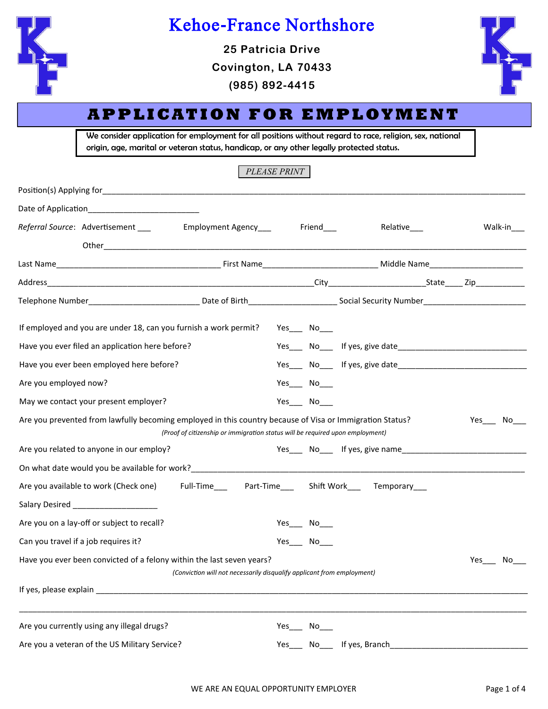

# Kehoe-France Northshore

**25 Patricia Drive Covington, LA 70433 (985) 892-4415**



## **A P P L I CAT I O N F O R E M P L OY M E N T**

We consider application for employment for all positions without regard to race, religion, sex, national origin, age, marital or veteran status, handicap, or any other legally protected status.

*PLEASE PRINT*

| Referral Source: Advertisement ___                                                                                                                                                                                               | Employment Agency___                                                          |     | Friend             | Relative___                                                  |     | Walk-in |
|----------------------------------------------------------------------------------------------------------------------------------------------------------------------------------------------------------------------------------|-------------------------------------------------------------------------------|-----|--------------------|--------------------------------------------------------------|-----|---------|
|                                                                                                                                                                                                                                  |                                                                               |     |                    |                                                              |     |         |
|                                                                                                                                                                                                                                  |                                                                               |     |                    |                                                              |     |         |
| Telephone Number__________________________________Date of Birth________________________Social Security Number__________________________                                                                                          |                                                                               |     |                    |                                                              |     |         |
| If employed and you are under 18, can you furnish a work permit?                                                                                                                                                                 |                                                                               |     | Yes_______ No_____ |                                                              |     |         |
| Have you ever filed an application here before?                                                                                                                                                                                  |                                                                               |     |                    |                                                              |     |         |
| Have you ever been employed here before?                                                                                                                                                                                         |                                                                               |     |                    |                                                              |     |         |
| Are you employed now?                                                                                                                                                                                                            |                                                                               |     | Yes___ No___       |                                                              |     |         |
| May we contact your present employer?                                                                                                                                                                                            |                                                                               |     | Yes No             |                                                              |     |         |
| Are you prevented from lawfully becoming employed in this country because of Visa or Immigration Status?                                                                                                                         | (Proof of citizenship or immigration status will be required upon employment) |     |                    |                                                              |     | Yes No  |
| Are you related to anyone in our employ?                                                                                                                                                                                         |                                                                               |     |                    | Yes Now If yes, give name                                    |     |         |
| On what date would you be available for work?<br>The material contract the contract of the contract of the contract of the contract of the contract of the contract of the contract of the contract of the contract of the contr |                                                                               |     |                    |                                                              |     |         |
| Are you available to work (Check one)                                                                                                                                                                                            |                                                                               |     |                    | Full-Time_______Part-Time_______Shift Work______Temporary___ |     |         |
| Salary Desired ______________________                                                                                                                                                                                            |                                                                               |     |                    |                                                              |     |         |
| Are you on a lay-off or subject to recall?                                                                                                                                                                                       |                                                                               |     | $Yes$ No_____      |                                                              |     |         |
| Can you travel if a job requires it?                                                                                                                                                                                             |                                                                               |     | Yes_______ No_____ |                                                              |     |         |
| Have you ever been convicted of a felony within the last seven years?                                                                                                                                                            | (Conviction will not necessarily disqualify applicant from employment)        |     |                    |                                                              | Yes | No.     |
|                                                                                                                                                                                                                                  |                                                                               |     |                    |                                                              |     |         |
| Are you currently using any illegal drugs?                                                                                                                                                                                       |                                                                               |     | Yes No             |                                                              |     |         |
| Are you a veteran of the US Military Service?                                                                                                                                                                                    |                                                                               | Yes | No                 | If yes, Branch                                               |     |         |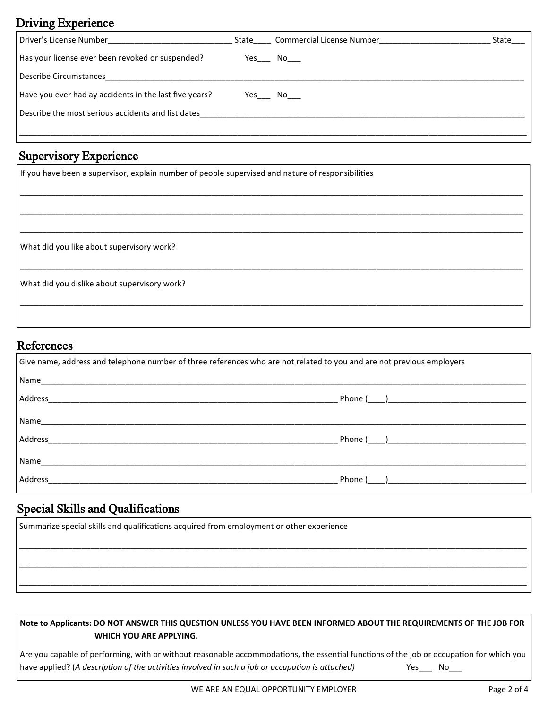### Driving Experience

| Driver's License Number                                | State  | Commercial License Number | State |
|--------------------------------------------------------|--------|---------------------------|-------|
| Has your license ever been revoked or suspended?       |        | Yes No                    |       |
| Describe Circumstances                                 |        |                           |       |
| Have you ever had ay accidents in the last five years? | Yes No |                           |       |
| Describe the most serious accidents and list dates     |        |                           |       |
|                                                        |        |                           |       |

### Supervisory Experience

| If you have been a supervisor, explain number of people supervised and nature of responsibilities |  |  |  |  |  |  |  |
|---------------------------------------------------------------------------------------------------|--|--|--|--|--|--|--|
|                                                                                                   |  |  |  |  |  |  |  |
|                                                                                                   |  |  |  |  |  |  |  |
| What did you like about supervisory work?                                                         |  |  |  |  |  |  |  |
| What did you dislike about supervisory work?                                                      |  |  |  |  |  |  |  |
|                                                                                                   |  |  |  |  |  |  |  |

#### References

| Give name, address and telephone number of three references who are not related to you and are not previous employers |                                                                |
|-----------------------------------------------------------------------------------------------------------------------|----------------------------------------------------------------|
| Name                                                                                                                  |                                                                |
| Address                                                                                                               |                                                                |
| Name_____                                                                                                             |                                                                |
| Address                                                                                                               | Phone ( )                                                      |
| Name                                                                                                                  |                                                                |
| Address                                                                                                               | Phone (<br>) and the contract of the contract of $\mathcal{L}$ |

### Special Skills and Qualifications

| Summarize special skills and qualifications acquired from employment or other experience |  |  |  |  |  |  |  |  |  |
|------------------------------------------------------------------------------------------|--|--|--|--|--|--|--|--|--|
|                                                                                          |  |  |  |  |  |  |  |  |  |
|                                                                                          |  |  |  |  |  |  |  |  |  |
|                                                                                          |  |  |  |  |  |  |  |  |  |
|                                                                                          |  |  |  |  |  |  |  |  |  |

#### **Note to Applicants: DO NOT ANSWER THIS QUESTION UNLESS YOU HAVE BEEN INFORMED ABOUT THE REQUIREMENTS OF THE JOB FOR WHICH YOU ARE APPLYING.**

Are you capable of performing, with or without reasonable accommodations, the essential functions of the job or occupation for which you have applied? (A description of the activities involved in such a job or occupation is attached) Yes\_\_\_ No\_\_\_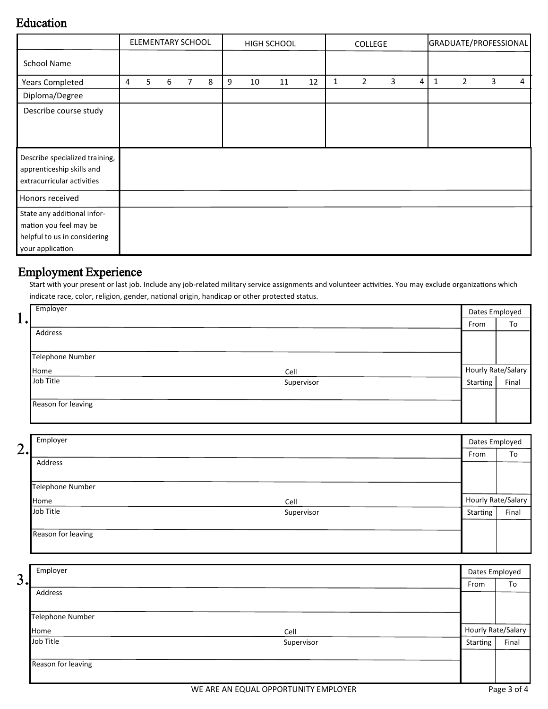#### Education

|                                                                                                           |   | ELEMENTARY SCHOOL |   |   |   | HIGH SCHOOL |    |    | <b>COLLEGE</b> |   |                |   | GRADUATE/PROFESSIONAL |   |                |   |   |
|-----------------------------------------------------------------------------------------------------------|---|-------------------|---|---|---|-------------|----|----|----------------|---|----------------|---|-----------------------|---|----------------|---|---|
| <b>School Name</b>                                                                                        |   |                   |   |   |   |             |    |    |                |   |                |   |                       |   |                |   |   |
| <b>Years Completed</b>                                                                                    | 4 | 5                 | 6 | 7 | 8 | 9           | 10 | 11 | 12             | 1 | $\overline{2}$ | 3 | 4                     | 1 | $\overline{2}$ | 3 | 4 |
| Diploma/Degree                                                                                            |   |                   |   |   |   |             |    |    |                |   |                |   |                       |   |                |   |   |
| Describe course study                                                                                     |   |                   |   |   |   |             |    |    |                |   |                |   |                       |   |                |   |   |
|                                                                                                           |   |                   |   |   |   |             |    |    |                |   |                |   |                       |   |                |   |   |
| Describe specialized training,<br>apprenticeship skills and<br>extracurricular activities                 |   |                   |   |   |   |             |    |    |                |   |                |   |                       |   |                |   |   |
| Honors received                                                                                           |   |                   |   |   |   |             |    |    |                |   |                |   |                       |   |                |   |   |
| State any additional infor-<br>mation you feel may be<br>helpful to us in considering<br>your application |   |                   |   |   |   |             |    |    |                |   |                |   |                       |   |                |   |   |

#### Employment Experience

Start with your present or last job. Include any job-related military service assignments and volunteer activities. You may exclude organizations which indicate race, color, religion, gender, national origin, handicap or other protected status.

|              | Employer                | Dates Employed |                    |
|--------------|-------------------------|----------------|--------------------|
| $\mathbf{I}$ |                         | From           | To                 |
|              | Address                 |                |                    |
|              |                         |                |                    |
|              | Telephone Number        |                |                    |
|              | Home<br>Cell            |                | Hourly Rate/Salary |
|              | Job Title<br>Supervisor | Starting       | Final              |
|              |                         |                |                    |
|              | Reason for leaving      |                |                    |
|              |                         |                |                    |

|    | Employer           |            |          | Dates Employed     |
|----|--------------------|------------|----------|--------------------|
| 2. |                    |            | From     | To                 |
|    | Address            |            |          |                    |
|    |                    |            |          |                    |
|    | Telephone Number   |            |          |                    |
|    | Home               | Cell       |          | Hourly Rate/Salary |
|    | Job Title          | Supervisor | Starting | Final              |
|    |                    |            |          |                    |
|    | Reason for leaving |            |          |                    |
|    |                    |            |          |                    |

|    | Employer                |          |                    |  |  |  |
|----|-------------------------|----------|--------------------|--|--|--|
| 3. |                         | From     | To                 |  |  |  |
|    | Address                 |          |                    |  |  |  |
|    |                         |          |                    |  |  |  |
|    | Telephone Number        |          |                    |  |  |  |
|    | Home<br>Cell            |          | Hourly Rate/Salary |  |  |  |
|    | Job Title<br>Supervisor | Starting | Final              |  |  |  |
|    |                         |          |                    |  |  |  |
|    | Reason for leaving      |          |                    |  |  |  |
|    |                         |          |                    |  |  |  |